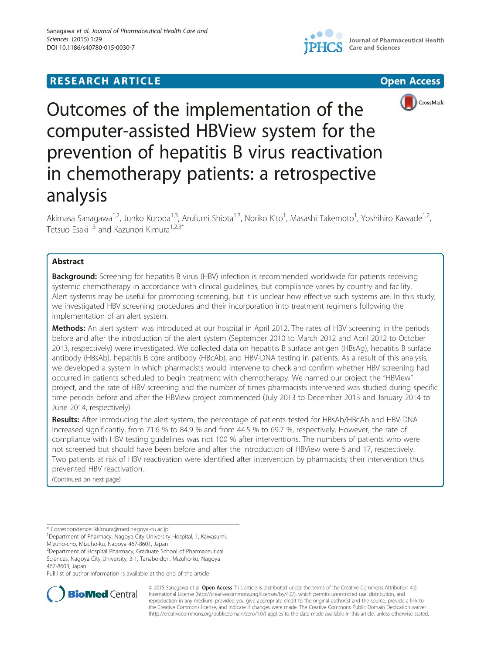# **RESEARCH ARTICLE Example 2008 12:00 Department of the Contract Open Access**







Outcomes of the implementation of the computer-assisted HBView system for the prevention of hepatitis B virus reactivation in chemotherapy patients: a retrospective analysis

Akimasa Sanagawa<sup>1,2</sup>, Junko Kuroda<sup>1,3</sup>, Arufumi Shiota<sup>1,3</sup>, Noriko Kito<sup>1</sup>, Masashi Takemoto<sup>1</sup>, Yoshihiro Kawade<sup>1,2</sup>, Tetsuo Esaki<sup>1,3</sup> and Kazunori Kimura<sup>1,2,3\*</sup>

## Abstract

**Background:** Screening for hepatitis B virus (HBV) infection is recommended worldwide for patients receiving systemic chemotherapy in accordance with clinical guidelines, but compliance varies by country and facility. Alert systems may be useful for promoting screening, but it is unclear how effective such systems are. In this study, we investigated HBV screening procedures and their incorporation into treatment regimens following the implementation of an alert system.

Methods: An alert system was introduced at our hospital in April 2012. The rates of HBV screening in the periods before and after the introduction of the alert system (September 2010 to March 2012 and April 2012 to October 2013, respectively) were investigated. We collected data on hepatitis B surface antigen (HBsAg), hepatitis B surface antibody (HBsAb), hepatitis B core antibody (HBcAb), and HBV-DNA testing in patients. As a result of this analysis, we developed a system in which pharmacists would intervene to check and confirm whether HBV screening had occurred in patients scheduled to begin treatment with chemotherapy. We named our project the "HBView" project, and the rate of HBV screening and the number of times pharmacists intervened was studied during specific time periods before and after the HBView project commenced (July 2013 to December 2013 and January 2014 to June 2014, respectively).

Results: After introducing the alert system, the percentage of patients tested for HBsAb/HBcAb and HBV-DNA increased significantly, from 71.6 % to 84.9 % and from 44.5 % to 69.7 %, respectively. However, the rate of compliance with HBV testing guidelines was not 100 % after interventions. The numbers of patients who were not screened but should have been before and after the introduction of HBView were 6 and 17, respectively. Two patients at risk of HBV reactivation were identified after intervention by pharmacists; their intervention thus prevented HBV reactivation.

(Continued on next page)

\* Correspondence: [kkimura@med.nagoya-cu.ac.jp](mailto:kkimura@med.nagoya-cu.ac.jp) <sup>1</sup>

<sup>1</sup> Department of Pharmacy, Nagoya City University Hospital, 1, Kawasumi,

Mizuho-cho, Mizuho-ku, Nagoya 467-8601, Japan

<sup>2</sup> Department of Hospital Pharmacy, Graduate School of Pharmaceutical Sciences, Nagoya City University, 3-1, Tanabe-dori, Mizuho-ku, Nagoya 467-8603, Japan

Full list of author information is available at the end of the article



© 2015 Sanagawa et al. Open Access This article is distributed under the terms of the Creative Commons Attribution 4.0 International License [\(http://creativecommons.org/licenses/by/4.0/](http://creativecommons.org/licenses/by/4.0/)), which permits unrestricted use, distribution, and reproduction in any medium, provided you give appropriate credit to the original author(s) and the source, provide a link to the Creative Commons license, and indicate if changes were made. The Creative Commons Public Domain Dedication waiver [\(http://creativecommons.org/publicdomain/zero/1.0/](http://creativecommons.org/publicdomain/zero/1.0/)) applies to the data made available in this article, unless otherwise stated.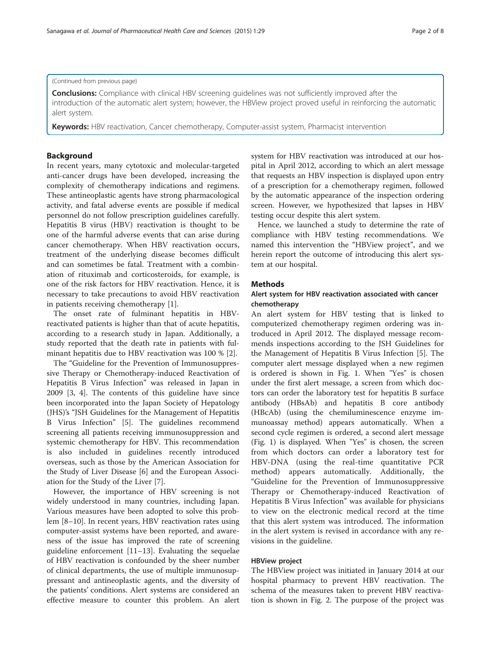#### (Continued from previous page)

**Conclusions:** Compliance with clinical HBV screening quidelines was not sufficiently improved after the introduction of the automatic alert system; however, the HBView project proved useful in reinforcing the automatic alert system.

Keywords: HBV reactivation, Cancer chemotherapy, Computer-assist system, Pharmacist intervention

### Background

In recent years, many cytotoxic and molecular-targeted anti-cancer drugs have been developed, increasing the complexity of chemotherapy indications and regimens. These antineoplastic agents have strong pharmacological activity, and fatal adverse events are possible if medical personnel do not follow prescription guidelines carefully. Hepatitis B virus (HBV) reactivation is thought to be one of the harmful adverse events that can arise during cancer chemotherapy. When HBV reactivation occurs, treatment of the underlying disease becomes difficult and can sometimes be fatal. Treatment with a combination of rituximab and corticosteroids, for example, is one of the risk factors for HBV reactivation. Hence, it is necessary to take precautions to avoid HBV reactivation in patients receiving chemotherapy [\[1](#page-6-0)].

The onset rate of fulminant hepatitis in HBVreactivated patients is higher than that of acute hepatitis, according to a research study in Japan. Additionally, a study reported that the death rate in patients with fulminant hepatitis due to HBV reactivation was 100 % [[2\]](#page-6-0).

The "Guideline for the Prevention of Immunosuppressive Therapy or Chemotherapy-induced Reactivation of Hepatitis B Virus Infection" was released in Japan in 2009 [\[3](#page-6-0), [4](#page-6-0)]. The contents of this guideline have since been incorporated into the Japan Society of Hepatology (JHS)'s "JSH Guidelines for the Management of Hepatitis B Virus Infection" [\[5](#page-6-0)]. The guidelines recommend screening all patients receiving immunosuppression and systemic chemotherapy for HBV. This recommendation is also included in guidelines recently introduced overseas, such as those by the American Association for the Study of Liver Disease [[6\]](#page-6-0) and the European Association for the Study of the Liver [\[7](#page-6-0)].

However, the importance of HBV screening is not widely understood in many countries, including Japan. Various measures have been adopted to solve this problem [[8](#page-6-0)–[10\]](#page-6-0). In recent years, HBV reactivation rates using computer-assist systems have been reported, and awareness of the issue has improved the rate of screening guideline enforcement [\[11](#page-6-0)–[13\]](#page-6-0). Evaluating the sequelae of HBV reactivation is confounded by the sheer number of clinical departments, the use of multiple immunosuppressant and antineoplastic agents, and the diversity of the patients' conditions. Alert systems are considered an effective measure to counter this problem. An alert system for HBV reactivation was introduced at our hospital in April 2012, according to which an alert message that requests an HBV inspection is displayed upon entry of a prescription for a chemotherapy regimen, followed by the automatic appearance of the inspection ordering screen. However, we hypothesized that lapses in HBV testing occur despite this alert system.

Hence, we launched a study to determine the rate of compliance with HBV testing recommendations. We named this intervention the "HBView project", and we herein report the outcome of introducing this alert system at our hospital.

## **Methods**

## Alert system for HBV reactivation associated with cancer chemotherapy

An alert system for HBV testing that is linked to computerized chemotherapy regimen ordering was introduced in April 2012. The displayed message recommends inspections according to the JSH Guidelines for the Management of Hepatitis B Virus Infection [[5\]](#page-6-0). The computer alert message displayed when a new regimen is ordered is shown in Fig. [1.](#page-2-0) When "Yes" is chosen under the first alert message, a screen from which doctors can order the laboratory test for hepatitis B surface antibody (HBsAb) and hepatitis B core antibody (HBcAb) (using the chemiluminescence enzyme immunoassay method) appears automatically. When a second cycle regimen is ordered, a second alert message (Fig. [1\)](#page-2-0) is displayed. When "Yes" is chosen, the screen from which doctors can order a laboratory test for HBV-DNA (using the real-time quantitative PCR method) appears automatically. Additionally, the "Guideline for the Prevention of Immunosuppressive Therapy or Chemotherapy-induced Reactivation of Hepatitis B Virus Infection" was available for physicians to view on the electronic medical record at the time that this alert system was introduced. The information in the alert system is revised in accordance with any revisions in the guideline.

#### HBView project

The HBView project was initiated in January 2014 at our hospital pharmacy to prevent HBV reactivation. The schema of the measures taken to prevent HBV reactivation is shown in Fig. [2](#page-2-0). The purpose of the project was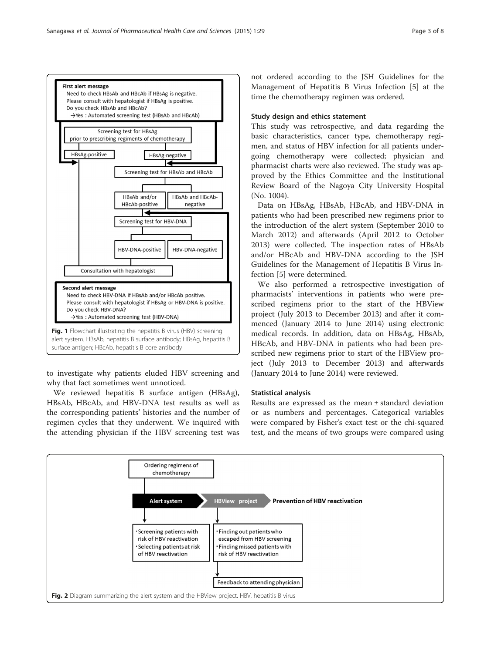<span id="page-2-0"></span>

to investigate why patients eluded HBV screening and why that fact sometimes went unnoticed.

We reviewed hepatitis B surface antigen (HBsAg), HBsAb, HBcAb, and HBV-DNA test results as well as the corresponding patients' histories and the number of regimen cycles that they underwent. We inquired with the attending physician if the HBV screening test was

not ordered according to the JSH Guidelines for the Management of Hepatitis B Virus Infection [\[5](#page-6-0)] at the time the chemotherapy regimen was ordered.

#### Study design and ethics statement

This study was retrospective, and data regarding the basic characteristics, cancer type, chemotherapy regimen, and status of HBV infection for all patients undergoing chemotherapy were collected; physician and pharmacist charts were also reviewed. The study was approved by the Ethics Committee and the Institutional Review Board of the Nagoya City University Hospital (No. 1004).

Data on HBsAg, HBsAb, HBcAb, and HBV-DNA in patients who had been prescribed new regimens prior to the introduction of the alert system (September 2010 to March 2012) and afterwards (April 2012 to October 2013) were collected. The inspection rates of HBsAb and/or HBcAb and HBV-DNA according to the JSH Guidelines for the Management of Hepatitis B Virus Infection [[5\]](#page-6-0) were determined.

We also performed a retrospective investigation of pharmacists' interventions in patients who were prescribed regimens prior to the start of the HBView project (July 2013 to December 2013) and after it commenced (January 2014 to June 2014) using electronic medical records. In addition, data on HBsAg, HBsAb, HBcAb, and HBV-DNA in patients who had been prescribed new regimens prior to start of the HBView project (July 2013 to December 2013) and afterwards (January 2014 to June 2014) were reviewed.

### Statistical analysis

Results are expressed as the mean ± standard deviation or as numbers and percentages. Categorical variables were compared by Fisher's exact test or the chi-squared test, and the means of two groups were compared using

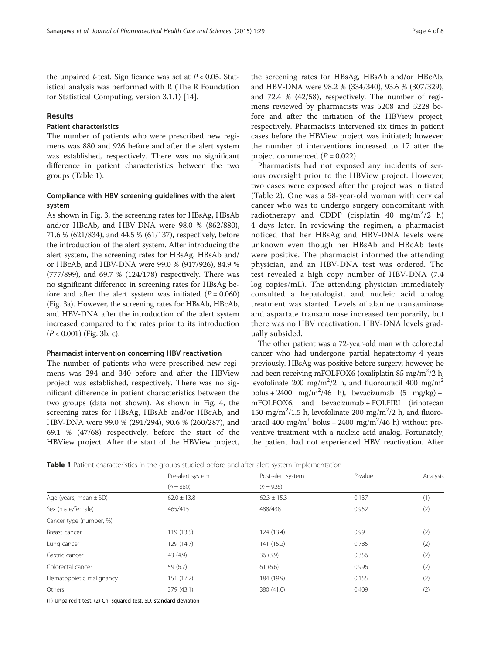the unpaired *t*-test. Significance was set at  $P < 0.05$ . Statistical analysis was performed with R (The R Foundation for Statistical Computing, version 3.1.1) [[14\]](#page-6-0).

## Results

## Patient characteristics

The number of patients who were prescribed new regimens was 880 and 926 before and after the alert system was established, respectively. There was no significant difference in patient characteristics between the two groups (Table 1).

## Compliance with HBV screening guidelines with the alert system

As shown in Fig. [3](#page-4-0), the screening rates for HBsAg, HBsAb and/or HBcAb, and HBV-DNA were 98.0 % (862/880), 71.6 % (621/834), and 44.5 % (61/137), respectively, before the introduction of the alert system. After introducing the alert system, the screening rates for HBsAg, HBsAb and/ or HBcAb, and HBV-DNA were 99.0 % (917/926), 84.9 % (777/899), and 69.7 % (124/178) respectively. There was no significant difference in screening rates for HBsAg before and after the alert system was initiated  $(P = 0.060)$ (Fig. [3a\)](#page-4-0). However, the screening rates for HBsAb, HBcAb, and HBV-DNA after the introduction of the alert system increased compared to the rates prior to its introduction  $(P < 0.001)$  (Fig. [3b, c](#page-4-0)).

#### Pharmacist intervention concerning HBV reactivation

The number of patients who were prescribed new regimens was 294 and 340 before and after the HBView project was established, respectively. There was no significant difference in patient characteristics between the two groups (data not shown). As shown in Fig. [4](#page-4-0), the screening rates for HBsAg, HBsAb and/or HBcAb, and HBV-DNA were 99.0 % (291/294), 90.6 % (260/287), and 69.1 % (47/68) respectively, before the start of the HBView project. After the start of the HBView project,

the screening rates for HBsAg, HBsAb and/or HBcAb, and HBV-DNA were 98.2 % (334/340), 93.6 % (307/329), and 72.4 % (42/58), respectively. The number of regimens reviewed by pharmacists was 5208 and 5228 before and after the initiation of the HBView project, respectively. Pharmacists intervened six times in patient cases before the HBView project was initiated; however, the number of interventions increased to 17 after the project commenced  $(P = 0.022)$ .

Pharmacists had not exposed any incidents of serious oversight prior to the HBView project. However, two cases were exposed after the project was initiated (Table [2\)](#page-5-0). One was a 58-year-old woman with cervical cancer who was to undergo surgery concomitant with radiotherapy and CDDP (cisplatin 40 mg/m<sup>2</sup>/2 h) 4 days later. In reviewing the regimen, a pharmacist noticed that her HBsAg and HBV-DNA levels were unknown even though her HBsAb and HBcAb tests were positive. The pharmacist informed the attending physician, and an HBV-DNA test was ordered. The test revealed a high copy number of HBV-DNA (7.4 log copies/mL). The attending physician immediately consulted a hepatologist, and nucleic acid analog treatment was started. Levels of alanine transaminase and aspartate transaminase increased temporarily, but there was no HBV reactivation. HBV-DNA levels gradually subsided.

The other patient was a 72-year-old man with colorectal cancer who had undergone partial hepatectomy 4 years previously. HBsAg was positive before surgery; however, he had been receiving mFOLFOX6 (oxaliplatin 85 mg/m<sup>2</sup>/2 h, levofolinate 200 mg/m<sup>2</sup>/2 h, and fluorouracil 400 mg/m<sup>2</sup> bolus + 2400 mg/m<sup>2</sup>/46 h), bevacizumab  $(5 \text{ mg/kg}) +$ mFOLFOX6, and bevacizumab + FOLFIRI (irinotecan 150 mg/m<sup>2</sup>/1.5 h, levofolinate 200 mg/m<sup>2</sup>/2 h, and fluorouracil 400 mg/m<sup>2</sup> bolus + 2400 mg/m<sup>2</sup>/46 h) without preventive treatment with a nucleic acid analog. Fortunately, the patient had not experienced HBV reactivation. After

| <b>Table 1</b> Patient characteristics in the groups studied before and after alert system implementation |  |  |
|-----------------------------------------------------------------------------------------------------------|--|--|
|-----------------------------------------------------------------------------------------------------------|--|--|

|                            | Pre-alert system | Post-alert system | $P$ -value | Analysis |
|----------------------------|------------------|-------------------|------------|----------|
|                            | $(n = 880)$      | $(n = 926)$       |            |          |
| Age (years; mean $\pm$ SD) | $62.0 \pm 13.8$  | $62.3 \pm 15.3$   | 0.137      | (1)      |
| Sex (male/female)          | 465/415          | 488/438           | 0.952      | (2)      |
| Cancer type (number, %)    |                  |                   |            |          |
| Breast cancer              | 119 (13.5)       | 124 (13.4)        | 0.99       | (2)      |
| Lung cancer                | 129 (14.7)       | 141 (15.2)        | 0.785      | (2)      |
| Gastric cancer             | 43 (4.9)         | 36(3.9)           | 0.356      | (2)      |
| Colorectal cancer          | 59 (6.7)         | 61(6.6)           | 0.996      | (2)      |
| Hematopoietic malignancy   | 151 (17.2)       | 184 (19.9)        | 0.155      | (2)      |
| Others                     | 379 (43.1)       | 380 (41.0)        | 0.409      | (2)      |

(1) Unpaired t-test, (2) Chi-squared test. SD, standard deviation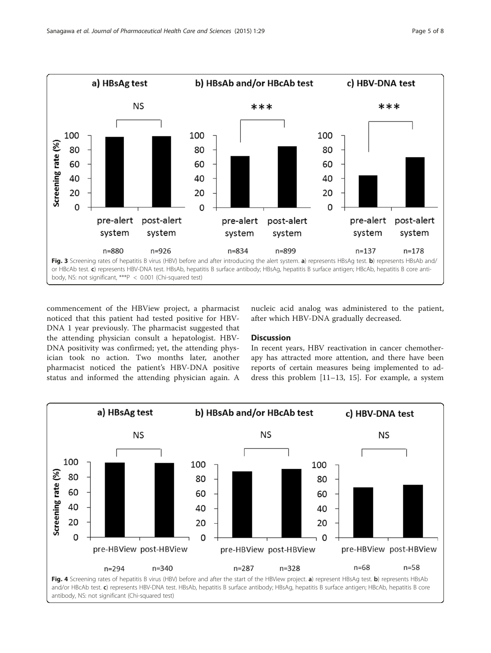<span id="page-4-0"></span>

commencement of the HBView project, a pharmacist noticed that this patient had tested positive for HBV-DNA 1 year previously. The pharmacist suggested that the attending physician consult a hepatologist. HBV-DNA positivity was confirmed; yet, the attending physician took no action. Two months later, another pharmacist noticed the patient's HBV-DNA positive status and informed the attending physician again. A nucleic acid analog was administered to the patient, after which HBV-DNA gradually decreased.

## **Discussion**

In recent years, HBV reactivation in cancer chemotherapy has attracted more attention, and there have been reports of certain measures being implemented to address this problem [\[11](#page-6-0)–[13, 15](#page-6-0)]. For example, a system



and/or HBcAb test. c) represents HBV-DNA test. HBsAb, hepatitis B surface antibody; HBsAg, hepatitis B surface antigen; HBcAb, hepatitis B core antibody, NS: not significant (Chi-squared test)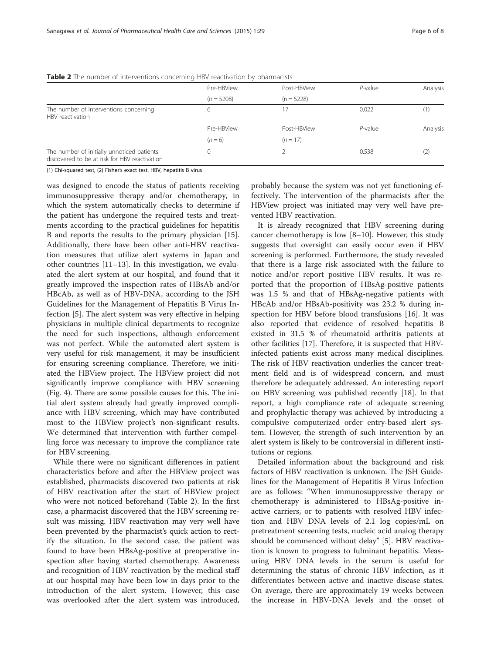|                                                                                             | Pre-HBView   | Post-HBView  | $P$ -value | Analysis |
|---------------------------------------------------------------------------------------------|--------------|--------------|------------|----------|
|                                                                                             | $(n = 5208)$ | $(n = 5228)$ |            |          |
| The number of interventions concerning<br>HBV reactivation                                  | 6            |              | 0.022      |          |
|                                                                                             | Pre-HBView   | Post-HBView  | $P$ -value | Analysis |
|                                                                                             | $(n=6)$      | $(n = 17)$   |            |          |
| The number of initially unnoticed patients<br>discovered to be at risk for HBV reactivation | $\Omega$     |              | 0.538      | (2)      |

<span id="page-5-0"></span>**Table 2** The number of interventions concerning HBV reactivation by pharmacists

(1) Chi-squared test, (2) Fisher's exact test. HBV, hepatitis B virus

was designed to encode the status of patients receiving immunosuppressive therapy and/or chemotherapy, in which the system automatically checks to determine if the patient has undergone the required tests and treatments according to the practical guidelines for hepatitis B and reports the results to the primary physician [\[15](#page-6-0)]. Additionally, there have been other anti-HBV reactivation measures that utilize alert systems in Japan and other countries [\[11](#page-6-0)–[13\]](#page-6-0). In this investigation, we evaluated the alert system at our hospital, and found that it greatly improved the inspection rates of HBsAb and/or HBcAb, as well as of HBV-DNA, according to the JSH Guidelines for the Management of Hepatitis B Virus Infection [[5\]](#page-6-0). The alert system was very effective in helping physicians in multiple clinical departments to recognize the need for such inspections, although enforcement was not perfect. While the automated alert system is very useful for risk management, it may be insufficient for ensuring screening compliance. Therefore, we initiated the HBView project. The HBView project did not significantly improve compliance with HBV screening (Fig. [4](#page-4-0)). There are some possible causes for this. The initial alert system already had greatly improved compliance with HBV screening, which may have contributed most to the HBView project's non-significant results. We determined that intervention with further compelling force was necessary to improve the compliance rate for HBV screening.

While there were no significant differences in patient characteristics before and after the HBView project was established, pharmacists discovered two patients at risk of HBV reactivation after the start of HBView project who were not noticed beforehand (Table 2). In the first case, a pharmacist discovered that the HBV screening result was missing. HBV reactivation may very well have been prevented by the pharmacist's quick action to rectify the situation. In the second case, the patient was found to have been HBsAg-positive at preoperative inspection after having started chemotherapy. Awareness and recognition of HBV reactivation by the medical staff at our hospital may have been low in days prior to the introduction of the alert system. However, this case was overlooked after the alert system was introduced, probably because the system was not yet functioning effectively. The intervention of the pharmacists after the HBView project was initiated may very well have prevented HBV reactivation.

It is already recognized that HBV screening during cancer chemotherapy is low [\[8](#page-6-0)–[10](#page-6-0)]. However, this study suggests that oversight can easily occur even if HBV screening is performed. Furthermore, the study revealed that there is a large risk associated with the failure to notice and/or report positive HBV results. It was reported that the proportion of HBsAg-positive patients was 1.5 % and that of HBsAg-negative patients with HBcAb and/or HBsAb-positivity was 23.2 % during inspection for HBV before blood transfusions [\[16](#page-6-0)]. It was also reported that evidence of resolved hepatitis B existed in 31.5 % of rheumatoid arthritis patients at other facilities [[17](#page-6-0)]. Therefore, it is suspected that HBVinfected patients exist across many medical disciplines. The risk of HBV reactivation underlies the cancer treatment field and is of widespread concern, and must therefore be adequately addressed. An interesting report on HBV screening was published recently [[18\]](#page-6-0). In that report, a high compliance rate of adequate screening and prophylactic therapy was achieved by introducing a compulsive computerized order entry-based alert system. However, the strength of such intervention by an alert system is likely to be controversial in different institutions or regions.

Detailed information about the background and risk factors of HBV reactivation is unknown. The JSH Guidelines for the Management of Hepatitis B Virus Infection are as follows: "When immunosuppressive therapy or chemotherapy is administered to HBsAg-positive inactive carriers, or to patients with resolved HBV infection and HBV DNA levels of 2.1 log copies/mL on pretreatment screening tests, nucleic acid analog therapy should be commenced without delay" [[5\]](#page-6-0). HBV reactivation is known to progress to fulminant hepatitis. Measuring HBV DNA levels in the serum is useful for determining the status of chronic HBV infection, as it differentiates between active and inactive disease states. On average, there are approximately 19 weeks between the increase in HBV-DNA levels and the onset of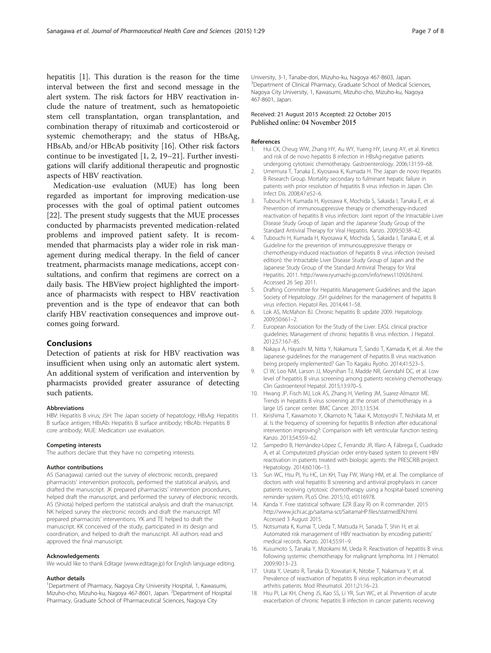<span id="page-6-0"></span>hepatitis [1]. This duration is the reason for the time interval between the first and second message in the alert system. The risk factors for HBV reactivation include the nature of treatment, such as hematopoietic stem cell transplantation, organ transplantation, and combination therapy of rituximab and corticosteroid or systemic chemotherapy; and the status of HBsAg, HBsAb, and/or HBcAb positivity [16]. Other risk factors continue to be investigated [1, 2, [19](#page-7-0)–[21\]](#page-7-0). Further investigations will clarify additional therapeutic and prognostic aspects of HBV reactivation.

Medication-use evaluation (MUE) has long been regarded as important for improving medication-use processes with the goal of optimal patient outcomes [[22\]](#page-7-0). The present study suggests that the MUE processes conducted by pharmacists prevented medication-related problems and improved patient safety. It is recommended that pharmacists play a wider role in risk management during medical therapy. In the field of cancer treatment, pharmacists manage medications, accept consultations, and confirm that regimens are correct on a daily basis. The HBView project highlighted the importance of pharmacists with respect to HBV reactivation prevention and is the type of endeavor that can both clarify HBV reactivation consequences and improve outcomes going forward.

## Conclusions

Detection of patients at risk for HBV reactivation was insufficient when using only an automatic alert system. An additional system of verification and intervention by pharmacists provided greater assurance of detecting such patients.

#### Abbreviations

HBV: Hepatitis B virus; JSH: The Japan society of hepatology; HBsAg: Hepatitis B surface antigen; HBsAb: Hepatitis B surface antibody; HBcAb: Hepatitis B core antibody; MUE: Medication use evaluation.

#### Competing interests

The authors declare that they have no competing interests.

#### Author contributions

AS (Sanagawa) carried out the survey of electronic records, prepared pharmacists' intervention protocols, performed the statistical analysis, and drafted the manuscript. JK prepared pharmacists' intervention procedures, helped draft the manuscript, and performed the survey of electronic records. AS (Shiota) helped perform the statistical analysis and draft the manuscript. NK helped survey the electronic records and draft the manuscript. MT prepared pharmacists' interventions. YK and TE helped to draft the manuscript. KK conceived of the study, participated in its design and coordination, and helped to draft the manuscript. All authors read and approved the final manuscript.

#### Acknowledgements

We would like to thank Editage [\(www.editage.jp\)](http://www.editage.jp) for English language editing.

#### Author details

<sup>1</sup>Department of Pharmacy, Nagoya City University Hospital, 1, Kawasumi, Mizuho-cho, Mizuho-ku, Nagoya 467-8601, Japan. <sup>2</sup>Department of Hospital Pharmacy, Graduate School of Pharmaceutical Sciences, Nagoya City

University, 3-1, Tanabe-dori, Mizuho-ku, Nagoya 467-8603, Japan. <sup>3</sup> Department of Clinical Pharmacy, Graduate School of Medical Sciences Nagoya City University, 1, Kawasumi, Mizuho-cho, Mizuho-ku, Nagoya 467-8601, Japan.

#### Received: 21 August 2015 Accepted: 22 October 2015 Published online: 04 November 2015

#### References

- 1. Hui CK, Cheug WW, Zhang HY, Au WY, Yueng HY, Leung AY, et al. Kinetics and risk of de novo hepatitis B infection in HBsAg-negative patients undergoing cytotoxic chemotherapy. Gastroenterology. 2006;131:59–68.
- 2. Umemura T, Tanaka E, Kiyosawa K, Kumada H. The Japan de novo Hepatitis B Research Group. Mortality secondary to fulminant hepatic failure in patients with prior resolution of hepatitis B virus infection in Japan. Clin Infect Dis. 2008;47:e52–6.
- 3. Tubouchi H, Kumada H, Kiyosawa K, Mochida S, Sakaida I, Tanaka E, et al. Prevention of immunosuppressive therapy or chemotherapy-induced reactivation of hepatitis B virus infection: Joint report of the Intractable Liver Disease Study Group of Japan and the Japanese Study Group of the Standard Antiviral Therapy for Viral Hepatitis. Kanzo. 2009;50:38–42.
- 4. Tubouchi H, Kumada H, Kiyosawa K, Mochida S, Sakaida I, Tanaka E, et al. Guideline for the prevention of immunosuppressive therapy or chemotherapy-induced reactivation of hepatitis B virus infection (revised edition): the Intractable Liver Disease Study Group of Japan and the Japanese Study Group of the Standard Antiviral Therapy for Viral Hepatitis. 2011. [http://www.ryumachi-jp.com/info/news110926.html.](http://www.ryumachi-jp.com/info/news110926.html) Accessed 26 Sep 2011.
- 5. Drafting Committee for Hepatitis Management Guidelines and the Japan Society of Hepatology. JSH guidelines for the management of hepatitis B virus infection. Hepatol Res. 2014;44:1–58.
- 6. Lok AS, McMahon BJ. Chronic hepatitis B: update 2009. Hepatology. 2009;50:661–2.
- 7. European Association for the Study of the Liver. EASL clinical practice guidelines: Management of chronic hepatitis B virus infection. J Hepatol. 2012;57:167–85.
- 8. Nakaya A, Hayashi M, Nitta Y, Nakamura T, Sando T, Kamada K, et al. Are the Japanese guidelines for the management of hepatitis B virus reactivation being properly implemented? Gan To Kagaku Ryoho. 2014;41:523–5.
- 9. Cl W, Loo NM, Larson JJ, Moynihan TJ, Madde NR, Grendahl DC, et al. Low level of hepatitis B virus screening among patients receiving chemotherapy. Clin Gastroenterol Hepatol. 2015;13:970–5.
- 10. Hwang JP, Fisch MJ, Lok AS, Zhang H, Vierling JM, Suarez-Almazor ME. Trends in hepatitis B virus screening at the onset of chemotherapy in a large US cancer center. BMC Cancer. 2013;13:534.
- 11. Kirishima T, Kawamoto Y, Okamoto N, Takai K, Motoyoshi T, Nishikata M, et al. Is the frequency of screening for hepatitis B infection after educational intervention improving?: Comparison with left ventricular function testing. Kanzo. 2013;54:559–62.
- 12. Sampedro B, Hernández-López C, Ferrandiz JR, Illaro A, Fábrega E, Cuadrado A, et al. Computerized physician order entry-based system to prevent HBV reactivation in patients treated with biologic agents: the PRESCRIB project. Hepatology. 2014;60:106–13.
- 13. Sun WC, Hsu PI, Yu HC, Lin KH, Tsay FW, Wang HM, et al. The compliance of doctors with viral hepatitis B screening and antiviral prophylaxis in cancer patients receiving cytotoxic chemotherapy using a hospital-based screening reminder system. PLoS One. 2015;10, e0116978.
- 14. Kanda Y. Free statistical software: EZR (Easy R) on R commander. 2015 <http://www.jichi.ac.jp/saitama-sct/SaitamaHP.files/statmedEN.html>. Accessed 3 August 2015.
- 15. Notsumata K, Kumai T, Ueda T, Matsuda H, Sanada T, Shin H, et al. Automated risk management of HBV reactivation by encoding patients' medical records. Kanzo. 2014;55:91–9.
- 16. Kusumoto S, Tanaka Y, Mizokami M, Ueda R. Reactivation of hepatitis B virus following systemic chemotherapy for malignant lymphoma. Int J Hematol. 2009;90:13–23.
- 17. Urata Y, Uesato R, Tanaka D, Kowatari K, Nitobe T, Nakamura Y, et al. Prevalence of reactivation of hepatitis B virus replication in rheumatoid arthritis patients. Mod Rheumatol. 2011;21:16–23.
- 18. Hsu PI, Lai KH, Cheng JS, Kao SS, Li YR, Sun WC, et al. Prevention of acute exacerbation of chronic hepatitis B infection in cancer patients receiving